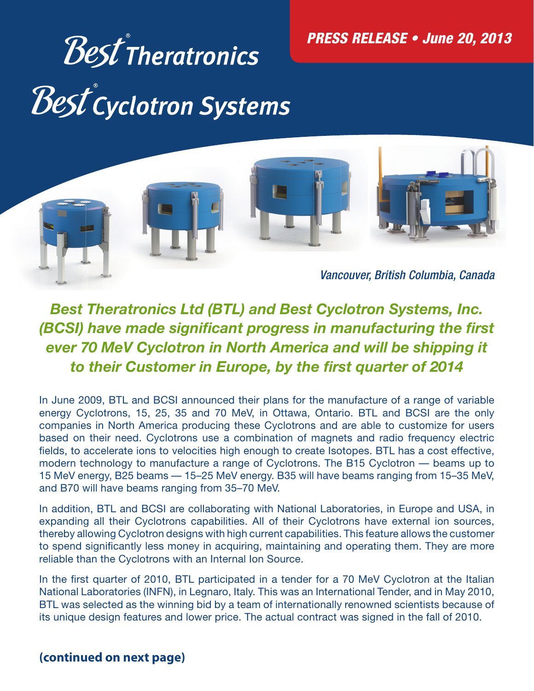PRESS RELEASE • June 20, 2013

# Best<sup>®</sup>Theratronics<br>Best<sup>®</sup>cyclotron Systems



*Best Theratronics Ltd (BTL) and Best Cyclotron Systems, Inc. (BCSI) have made significant progress in manufacturing the first ever 70 MeV Cyclotron in North America and will be shipping it*  to their Customer in Europe, by the first quarter of 2014

In June 2009, BTL and BCSI announced their plans for the manufacture of a range of variable energy Cyclotrons, 15, 25, 35 and 70 MeV, in Ottawa, Ontario. BTL and BCSI are the only companies in North America producing these Cyclotrons and are able to customize for users based on their need. Cyclotrons use a combination of magnets and radio frequency electric fields, to accelerate ions to velocities high enough to create Isotopes. BTL has a cost effective, modern technology to manufacture a range of Cyclotrons. The B15 Cyclotron — beams up to 15 MeV energy, B25 beams — 15–25 MeV energy. B35 will have beams ranging from 15–35 MeV, and B70 will have beams ranging from 35–70 MeV.

In addition, BTL and BCSI are collaborating with National Laboratories, in Europe and USA, in expanding all their Cyclotrons capabilities. All of their Cyclotrons have external ion sources, thereby allowing Cyclotron designs with high current capabilities. This feature allows the customer to spend significantly less money in acquiring, maintaining and operating them. They are more reliable than the Cyclotrons with an Internal Ion Source.

In the first quarter of 2010, BTL participated in a tender for a 70 MeV Cyclotron at the Italian National Laboratories (INFN), in Legnaro, Italy. This was an International Tender, and in May 2010, BTL was selected as the winning bid by a team of internationally renowned scientists because of its unique design features and lower price. The actual contract was signed in the fall of 2010.

# **(continued on next page)**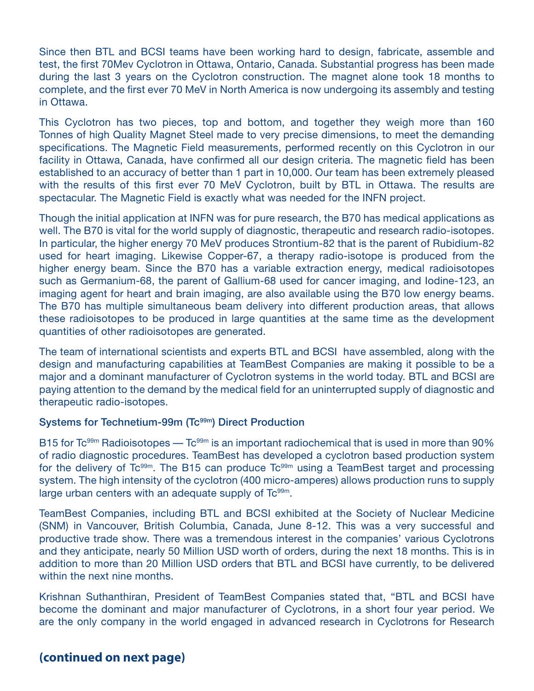Since then BTL and BCSI teams have been working hard to design, fabricate, assemble and test, the first 70Mev Cyclotron in Ottawa, Ontario, Canada. Substantial progress has been made during the last 3 years on the Cyclotron construction. The magnet alone took 18 months to complete, and the first ever 70 MeV in North America is now undergoing its assembly and testing in Ottawa.

This Cyclotron has two pieces, top and bottom, and together they weigh more than 160 Tonnes of high Quality Magnet Steel made to very precise dimensions, to meet the demanding specifications. The Magnetic Field measurements, performed recently on this Cyclotron in our facility in Ottawa, Canada, have confirmed all our design criteria. The magnetic field has been established to an accuracy of better than 1 part in 10,000. Our team has been extremely pleased with the results of this first ever 70 MeV Cyclotron, built by BTL in Ottawa. The results are spectacular. The Magnetic Field is exactly what was needed for the INFN project.

Though the initial application at INFN was for pure research, the B70 has medical applications as well. The B70 is vital for the world supply of diagnostic, therapeutic and research radio-isotopes. In particular, the higher energy 70 MeV produces Strontium-82 that is the parent of Rubidium-82 used for heart imaging. Likewise Copper-67, a therapy radio-isotope is produced from the higher energy beam. Since the B70 has a variable extraction energy, medical radioisotopes such as Germanium-68, the parent of Gallium-68 used for cancer imaging, and Iodine-123, an imaging agent for heart and brain imaging, are also available using the B70 low energy beams. The B70 has multiple simultaneous beam delivery into different production areas, that allows these radioisotopes to be produced in large quantities at the same time as the development quantities of other radioisotopes are generated.

The team of international scientists and experts BTL and BCSI have assembled, along with the design and manufacturing capabilities at TeamBest Companies are making it possible to be a major and a dominant manufacturer of Cyclotron systems in the world today. BTL and BCSI are paying attention to the demand by the medical field for an uninterrupted supply of diagnostic and therapeutic radio-isotopes.

#### Systems for Technetium-99m (Tc<sup>99m</sup>) Direct Production

B15 for  $Tc<sup>99m</sup>$  Radioisotopes —  $Tc<sup>99m</sup>$  is an important radiochemical that is used in more than 90% of radio diagnostic procedures. TeamBest has developed a cyclotron based production system for the delivery of Tc<sup>99m</sup>. The B15 can produce Tc<sup>99m</sup> using a TeamBest target and processing system. The high intensity of the cyclotron (400 micro-amperes) allows production runs to supply large urban centers with an adequate supply of  $\mathsf{TC}^{\mathsf{99m}}$ .

TeamBest Companies, including BTL and BCSI exhibited at the Society of Nuclear Medicine (SNM) in Vancouver, British Columbia, Canada, June 8-12. This was a very successful and productive trade show. There was a tremendous interest in the companies' various Cyclotrons and they anticipate, nearly 50 Million USD worth of orders, during the next 18 months. This is in addition to more than 20 Million USD orders that BTL and BCSI have currently, to be delivered within the next nine months.

Krishnan Suthanthiran, President of TeamBest Companies stated that, "BTL and BCSI have become the dominant and major manufacturer of Cyclotrons, in a short four year period. We are the only company in the world engaged in advanced research in Cyclotrons for Research

## **(continued on next page)**